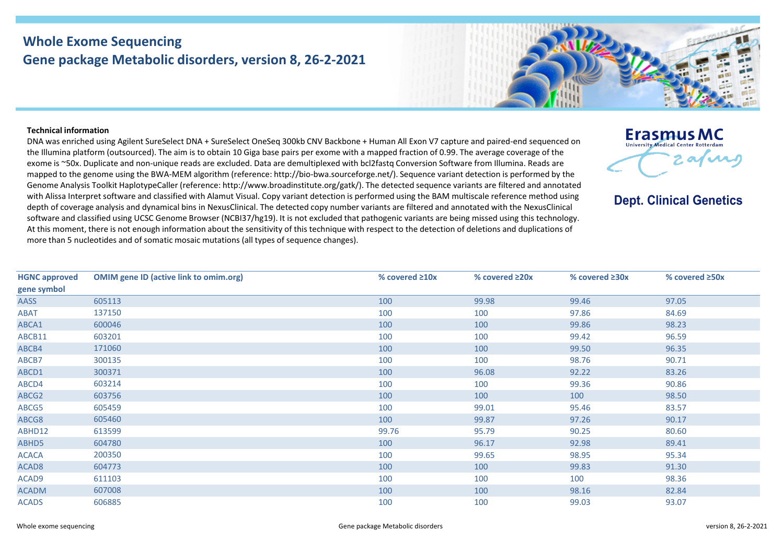## **Whole Exome Sequencing Gene package Metabolic disorders, version 8, 26-2-2021**



## **Technical information**

DNA was enriched using Agilent SureSelect DNA + SureSelect OneSeq 300kb CNV Backbone + Human All Exon V7 capture and paired-end sequenced on the Illumina platform (outsourced). The aim is to obtain 10 Giga base pairs per exome with a mapped fraction of 0.99. The average coverage of the exome is ~50x. Duplicate and non-unique reads are excluded. Data are demultiplexed with bcl2fastq Conversion Software from Illumina. Reads are mapped to the genome using the BWA-MEM algorithm (reference: http://bio-bwa.sourceforge.net/). Sequence variant detection is performed by the Genome Analysis Toolkit HaplotypeCaller (reference: http://www.broadinstitute.org/gatk/). The detected sequence variants are filtered and annotated with Alissa Interpret software and classified with Alamut Visual. Copy variant detection is performed using the BAM multiscale reference method using depth of coverage analysis and dynamical bins in NexusClinical. The detected copy number variants are filtered and annotated with the NexusClinical software and classified using UCSC Genome Browser (NCBI37/hg19). It is not excluded that pathogenic variants are being missed using this technology. At this moment, there is not enough information about the sensitivity of this technique with respect to the detection of deletions and duplications of more than 5 nucleotides and of somatic mosaic mutations (all types of sequence changes).



**Dept. Clinical Genetics** 

| <b>HGNC approved</b> | <b>OMIM gene ID (active link to omim.org)</b> | % covered $\geq 10x$ | % covered $\geq 20x$ | % covered $\geq 30x$ | % covered ≥50x |
|----------------------|-----------------------------------------------|----------------------|----------------------|----------------------|----------------|
| gene symbol          |                                               |                      |                      |                      |                |
| AASS                 | 605113                                        | 100                  | 99.98                | 99.46                | 97.05          |
| ABAT                 | 137150                                        | 100                  | 100                  | 97.86                | 84.69          |
| ABCA1                | 600046                                        | 100                  | 100                  | 99.86                | 98.23          |
| ABCB11               | 603201                                        | 100                  | 100                  | 99.42                | 96.59          |
| ABCB4                | 171060                                        | 100                  | 100                  | 99.50                | 96.35          |
| ABCB7                | 300135                                        | 100                  | 100                  | 98.76                | 90.71          |
| ABCD1                | 300371                                        | 100                  | 96.08                | 92.22                | 83.26          |
| ABCD4                | 603214                                        | 100                  | 100                  | 99.36                | 90.86          |
| ABCG2                | 603756                                        | 100                  | 100                  | 100                  | 98.50          |
| ABCG5                | 605459                                        | 100                  | 99.01                | 95.46                | 83.57          |
| ABCG8                | 605460                                        | 100                  | 99.87                | 97.26                | 90.17          |
| ABHD12               | 613599                                        | 99.76                | 95.79                | 90.25                | 80.60          |
| ABHD5                | 604780                                        | 100                  | 96.17                | 92.98                | 89.41          |
| <b>ACACA</b>         | 200350                                        | 100                  | 99.65                | 98.95                | 95.34          |
| ACAD <sub>8</sub>    | 604773                                        | 100                  | 100                  | 99.83                | 91.30          |
| ACAD9                | 611103                                        | 100                  | 100                  | 100                  | 98.36          |
| <b>ACADM</b>         | 607008                                        | 100                  | 100                  | 98.16                | 82.84          |
| <b>ACADS</b>         | 606885                                        | 100                  | 100                  | 99.03                | 93.07          |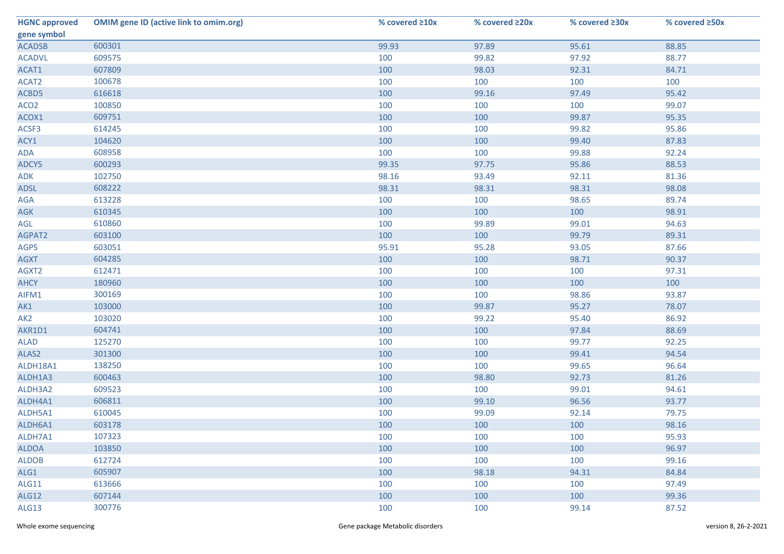| <b>HGNC approved</b> | <b>OMIM gene ID (active link to omim.org)</b> | % covered ≥10x | % covered ≥20x | % covered ≥30x | % covered ≥50x |
|----------------------|-----------------------------------------------|----------------|----------------|----------------|----------------|
| gene symbol          |                                               |                |                |                |                |
| <b>ACADSB</b>        | 600301                                        | 99.93          | 97.89          | 95.61          | 88.85          |
| <b>ACADVL</b>        | 609575                                        | 100            | 99.82          | 97.92          | 88.77          |
| ACAT1                | 607809                                        | 100            | 98.03          | 92.31          | 84.71          |
| ACAT2                | 100678                                        | 100            | 100            | 100            | 100            |
| ACBD5                | 616618                                        | 100            | 99.16          | 97.49          | 95.42          |
| ACO <sub>2</sub>     | 100850                                        | 100            | 100            | 100            | 99.07          |
| ACOX1                | 609751                                        | 100            | 100            | 99.87          | 95.35          |
| ACSF3                | 614245                                        | 100            | 100            | 99.82          | 95.86          |
| ACY1                 | 104620                                        | 100            | 100            | 99.40          | 87.83          |
| ADA                  | 608958                                        | 100            | 100            | 99.88          | 92.24          |
| ADCY5                | 600293                                        | 99.35          | 97.75          | 95.86          | 88.53          |
| ADK                  | 102750                                        | 98.16          | 93.49          | 92.11          | 81.36          |
| <b>ADSL</b>          | 608222                                        | 98.31          | 98.31          | 98.31          | 98.08          |
| AGA                  | 613228                                        | 100            | 100            | 98.65          | 89.74          |
| <b>AGK</b>           | 610345                                        | 100            | 100            | 100            | 98.91          |
| AGL                  | 610860                                        | 100            | 99.89          | 99.01          | 94.63          |
| AGPAT2               | 603100                                        | 100            | 100            | 99.79          | 89.31          |
| <b>AGPS</b>          | 603051                                        | 95.91          | 95.28          | 93.05          | 87.66          |
| <b>AGXT</b>          | 604285                                        | 100            | 100            | 98.71          | 90.37          |
| AGXT2                | 612471                                        | 100            | 100            | 100            | 97.31          |
| <b>AHCY</b>          | 180960                                        | 100            | 100            | 100            | 100            |
| AIFM1                | 300169                                        | 100            | 100            | 98.86          | 93.87          |
| AK1                  | 103000                                        | 100            | 99.87          | 95.27          | 78.07          |
| AK <sub>2</sub>      | 103020                                        | 100            | 99.22          | 95.40          | 86.92          |
| AKR1D1               | 604741                                        | 100            | 100            | 97.84          | 88.69          |
| <b>ALAD</b>          | 125270                                        | 100            | 100            | 99.77          | 92.25          |
| ALAS2                | 301300                                        | 100            | 100            | 99.41          | 94.54          |
| ALDH18A1             | 138250                                        | 100            | 100            | 99.65          | 96.64          |
| ALDH1A3              | 600463                                        | 100            | 98.80          | 92.73          | 81.26          |
| ALDH3A2              | 609523                                        | 100            | 100            | 99.01          | 94.61          |
| ALDH4A1              | 606811                                        | 100            | 99.10          | 96.56          | 93.77          |
| ALDH5A1              | 610045                                        | 100            | 99.09          | 92.14          | 79.75          |
| ALDH6A1              | 603178                                        | 100            | 100            | 100            | 98.16          |
| ALDH7A1              | 107323                                        | 100            | 100            | 100            | 95.93          |
| <b>ALDOA</b>         | 103850                                        | 100            | 100            | 100            | 96.97          |
| <b>ALDOB</b>         | 612724                                        | 100            | 100            | 100            | 99.16          |
| ALG1                 | 605907                                        | 100            | 98.18          | 94.31          | 84.84          |
| ALG11                | 613666                                        | 100            | 100            | 100            | 97.49          |
| ALG12                | 607144                                        | 100            | 100            | 100            | 99.36          |
| ALG13                | 300776                                        | 100            | 100            | 99.14          | 87.52          |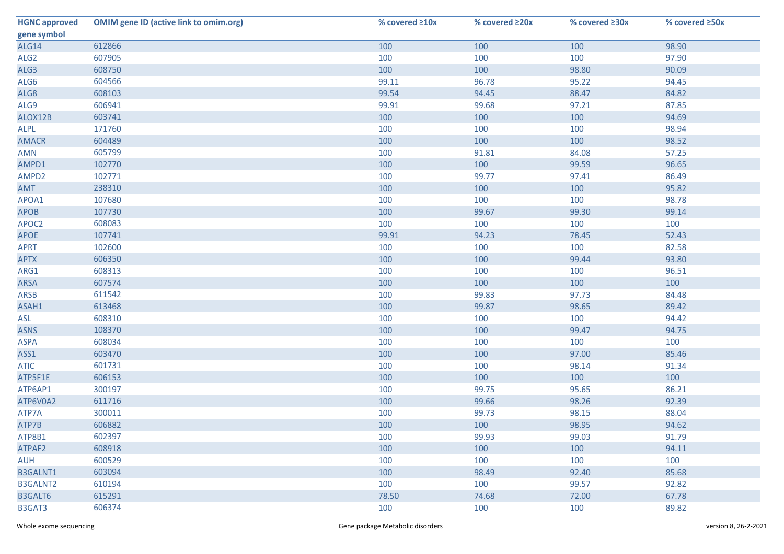| <b>HGNC approved</b> | <b>OMIM gene ID (active link to omim.org)</b> | % covered ≥10x | % covered ≥20x | % covered ≥30x | % covered ≥50x |
|----------------------|-----------------------------------------------|----------------|----------------|----------------|----------------|
| gene symbol          |                                               |                |                |                |                |
| ALG14                | 612866                                        | 100            | 100            | 100            | 98.90          |
| ALG <sub>2</sub>     | 607905                                        | 100            | 100            | 100            | 97.90          |
| ALG3                 | 608750                                        | 100            | 100            | 98.80          | 90.09          |
| ALG6                 | 604566                                        | 99.11          | 96.78          | 95.22          | 94.45          |
| ALG8                 | 608103                                        | 99.54          | 94.45          | 88.47          | 84.82          |
| ALG9                 | 606941                                        | 99.91          | 99.68          | 97.21          | 87.85          |
| ALOX12B              | 603741                                        | 100            | 100            | 100            | 94.69          |
| ALPL                 | 171760                                        | 100            | 100            | 100            | 98.94          |
| <b>AMACR</b>         | 604489                                        | 100            | 100            | 100            | 98.52          |
| AMN                  | 605799                                        | 100            | 91.81          | 84.08          | 57.25          |
| AMPD1                | 102770                                        | 100            | 100            | 99.59          | 96.65          |
| AMPD2                | 102771                                        | 100            | 99.77          | 97.41          | 86.49          |
| AMT                  | 238310                                        | 100            | 100            | 100            | 95.82          |
| APOA1                | 107680                                        | 100            | 100            | 100            | 98.78          |
| <b>APOB</b>          | 107730                                        | 100            | 99.67          | 99.30          | 99.14          |
| APOC2                | 608083                                        | 100            | 100            | 100            | 100            |
| <b>APOE</b>          | 107741                                        | 99.91          | 94.23          | 78.45          | 52.43          |
| <b>APRT</b>          | 102600                                        | 100            | 100            | 100            | 82.58          |
| <b>APTX</b>          | 606350                                        | 100            | 100            | 99.44          | 93.80          |
| ARG1                 | 608313                                        | 100            | 100            | 100            | 96.51          |
| <b>ARSA</b>          | 607574                                        | 100            | 100            | 100            | 100            |
| <b>ARSB</b>          | 611542                                        | 100            | 99.83          | 97.73          | 84.48          |
| ASAH1                | 613468                                        | 100            | 99.87          | 98.65          | 89.42          |
| ASL                  | 608310                                        | 100            | 100            | 100            | 94.42          |
| <b>ASNS</b>          | 108370                                        | 100            | 100            | 99.47          | 94.75          |
| <b>ASPA</b>          | 608034                                        | 100            | 100            | 100            | 100            |
| ASS1                 | 603470                                        | 100            | 100            | 97.00          | 85.46          |
| <b>ATIC</b>          | 601731                                        | 100            | 100            | 98.14          | 91.34          |
| ATP5F1E              | 606153                                        | 100            | 100            | 100            | 100            |
| ATP6AP1              | 300197                                        | 100            | 99.75          | 95.65          | 86.21          |
| ATP6V0A2             | 611716                                        | 100            | 99.66          | 98.26          | 92.39          |
| ATP7A                | 300011                                        | 100            | 99.73          | 98.15          | 88.04          |
| ATP7B                | 606882                                        | 100            | 100            | 98.95          | 94.62          |
| ATP8B1               | 602397                                        | 100            | 99.93          | 99.03          | 91.79          |
| ATPAF2               | 608918                                        | 100            | 100            | 100            | 94.11          |
| <b>AUH</b>           | 600529                                        | 100            | 100            | 100            | 100            |
| <b>B3GALNT1</b>      | 603094                                        | 100            | 98.49          | 92.40          | 85.68          |
| <b>B3GALNT2</b>      | 610194                                        | 100            | 100            | 99.57          | 92.82          |
| B3GALT6              | 615291                                        | 78.50          | 74.68          | 72.00          | 67.78          |
| B3GAT3               | 606374                                        | 100            | 100            | 100            | 89.82          |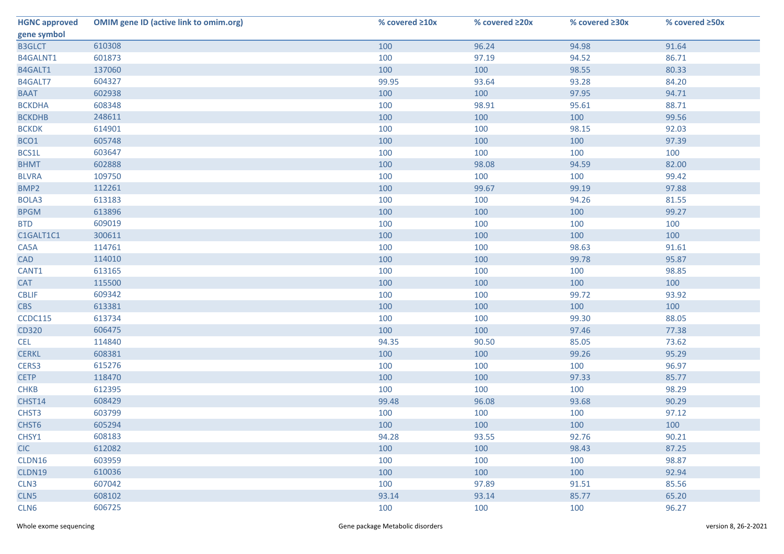| <b>HGNC approved</b> | <b>OMIM gene ID (active link to omim.org)</b> | % covered ≥10x | % covered ≥20x | % covered ≥30x | % covered ≥50x |
|----------------------|-----------------------------------------------|----------------|----------------|----------------|----------------|
| gene symbol          |                                               |                |                |                |                |
| <b>B3GLCT</b>        | 610308                                        | 100            | 96.24          | 94.98          | 91.64          |
| B4GALNT1             | 601873                                        | 100            | 97.19          | 94.52          | 86.71          |
| B4GALT1              | 137060                                        | 100            | 100            | 98.55          | 80.33          |
| B4GALT7              | 604327                                        | 99.95          | 93.64          | 93.28          | 84.20          |
| <b>BAAT</b>          | 602938                                        | 100            | 100            | 97.95          | 94.71          |
| <b>BCKDHA</b>        | 608348                                        | 100            | 98.91          | 95.61          | 88.71          |
| <b>BCKDHB</b>        | 248611                                        | 100            | 100            | 100            | 99.56          |
| <b>BCKDK</b>         | 614901                                        | 100            | 100            | 98.15          | 92.03          |
| BCO1                 | 605748                                        | 100            | 100            | 100            | 97.39          |
| BCS1L                | 603647                                        | 100            | 100            | 100            | 100            |
| <b>BHMT</b>          | 602888                                        | 100            | 98.08          | 94.59          | 82.00          |
| <b>BLVRA</b>         | 109750                                        | 100            | 100            | 100            | 99.42          |
| BMP2                 | 112261                                        | 100            | 99.67          | 99.19          | 97.88          |
| BOLA3                | 613183                                        | 100            | 100            | 94.26          | 81.55          |
| <b>BPGM</b>          | 613896                                        | 100            | 100            | 100            | 99.27          |
| <b>BTD</b>           | 609019                                        | 100            | 100            | 100            | 100            |
| C1GALT1C1            | 300611                                        | 100            | 100            | 100            | 100            |
| CA5A                 | 114761                                        | 100            | 100            | 98.63          | 91.61          |
| <b>CAD</b>           | 114010                                        | 100            | 100            | 99.78          | 95.87          |
| CANT1                | 613165                                        | 100            | 100            | 100            | 98.85          |
| <b>CAT</b>           | 115500                                        | 100            | 100            | 100            | 100            |
| <b>CBLIF</b>         | 609342                                        | 100            | 100            | 99.72          | 93.92          |
| <b>CBS</b>           | 613381                                        | 100            | 100            | 100            | 100            |
| CCDC115              | 613734                                        | 100            | 100            | 99.30          | 88.05          |
| CD320                | 606475                                        | 100            | 100            | 97.46          | 77.38          |
| <b>CEL</b>           | 114840                                        | 94.35          | 90.50          | 85.05          | 73.62          |
| <b>CERKL</b>         | 608381                                        | 100            | 100            | 99.26          | 95.29          |
| CERS3                | 615276                                        | 100            | 100            | 100            | 96.97          |
| <b>CETP</b>          | 118470                                        | 100            | 100            | 97.33          | 85.77          |
| <b>CHKB</b>          | 612395                                        | 100            | 100            | 100            | 98.29          |
| CHST14               | 608429                                        | 99.48          | 96.08          | 93.68          | 90.29          |
| CHST3                | 603799                                        | 100            | 100            | 100            | 97.12          |
| CHST6                | 605294                                        | 100            | 100            | 100            | 100            |
| CHSY1                | 608183                                        | 94.28          | 93.55          | 92.76          | 90.21          |
| <b>CIC</b>           | 612082                                        | 100            | 100            | 98.43          | 87.25          |
| CLDN16               | 603959                                        | 100            | 100            | 100            | 98.87          |
| CLDN19               | 610036                                        | 100            | 100            | 100            | 92.94          |
| CLN <sub>3</sub>     | 607042                                        | 100            | 97.89          | 91.51          | 85.56          |
| CLN5                 | 608102                                        | 93.14          | 93.14          | 85.77          | 65.20          |
| CLN <sub>6</sub>     | 606725                                        | 100            | 100            | 100            | 96.27          |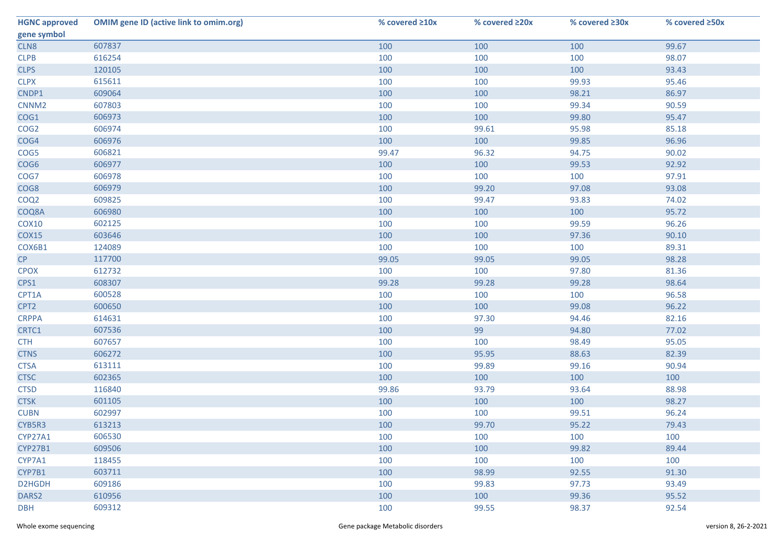| <b>HGNC approved</b> | <b>OMIM gene ID (active link to omim.org)</b> | % covered ≥10x | % covered ≥20x | % covered ≥30x | % covered ≥50x |
|----------------------|-----------------------------------------------|----------------|----------------|----------------|----------------|
| gene symbol          |                                               |                |                |                |                |
| CLN8                 | 607837                                        | 100            | 100            | 100            | 99.67          |
| CLPB                 | 616254                                        | 100            | 100            | 100            | 98.07          |
| <b>CLPS</b>          | 120105                                        | 100            | 100            | 100            | 93.43          |
| <b>CLPX</b>          | 615611                                        | 100            | 100            | 99.93          | 95.46          |
| CNDP1                | 609064                                        | 100            | 100            | 98.21          | 86.97          |
| CNNM <sub>2</sub>    | 607803                                        | 100            | 100            | 99.34          | 90.59          |
| COG1                 | 606973                                        | 100            | 100            | 99.80          | 95.47          |
| COG <sub>2</sub>     | 606974                                        | 100            | 99.61          | 95.98          | 85.18          |
| COG4                 | 606976                                        | 100            | 100            | 99.85          | 96.96          |
| COG5                 | 606821                                        | 99.47          | 96.32          | 94.75          | 90.02          |
| COG6                 | 606977                                        | 100            | 100            | 99.53          | 92.92          |
| COG7                 | 606978                                        | 100            | 100            | 100            | 97.91          |
| COG8                 | 606979                                        | 100            | 99.20          | 97.08          | 93.08          |
| COQ <sub>2</sub>     | 609825                                        | 100            | 99.47          | 93.83          | 74.02          |
| COQ8A                | 606980                                        | 100            | 100            | 100            | 95.72          |
| <b>COX10</b>         | 602125                                        | 100            | 100            | 99.59          | 96.26          |
| <b>COX15</b>         | 603646                                        | 100            | 100            | 97.36          | 90.10          |
| COX6B1               | 124089                                        | 100            | 100            | 100            | 89.31          |
| CP                   | 117700                                        | 99.05          | 99.05          | 99.05          | 98.28          |
| <b>CPOX</b>          | 612732                                        | 100            | 100            | 97.80          | 81.36          |
| CPS1                 | 608307                                        | 99.28          | 99.28          | 99.28          | 98.64          |
| CPT1A                | 600528                                        | 100            | 100            | 100            | 96.58          |
| CPT2                 | 600650                                        | 100            | 100            | 99.08          | 96.22          |
| <b>CRPPA</b>         | 614631                                        | 100            | 97.30          | 94.46          | 82.16          |
| CRTC1                | 607536                                        | 100            | 99             | 94.80          | 77.02          |
| <b>CTH</b>           | 607657                                        | 100            | 100            | 98.49          | 95.05          |
| <b>CTNS</b>          | 606272                                        | 100            | 95.95          | 88.63          | 82.39          |
| <b>CTSA</b>          | 613111                                        | 100            | 99.89          | 99.16          | 90.94          |
| <b>CTSC</b>          | 602365                                        | 100            | 100            | 100            | 100            |
| <b>CTSD</b>          | 116840                                        | 99.86          | 93.79          | 93.64          | 88.98          |
| <b>CTSK</b>          | 601105                                        | 100            | 100            | 100            | 98.27          |
| <b>CUBN</b>          | 602997                                        | 100            | 100            | 99.51          | 96.24          |
| CYB5R3               | 613213                                        | 100            | 99.70          | 95.22          | 79.43          |
| CYP27A1              | 606530                                        | 100            | 100            | 100            | 100            |
| <b>CYP27B1</b>       | 609506                                        | 100            | 100            | 99.82          | 89.44          |
| CYP7A1               | 118455                                        | 100            | 100            | 100            | 100            |
| CYP7B1               | 603711                                        | 100            | 98.99          | 92.55          | 91.30          |
| D2HGDH               | 609186                                        | 100            | 99.83          | 97.73          | 93.49          |
| DARS <sub>2</sub>    | 610956                                        | 100            | 100            | 99.36          | 95.52          |
| <b>DBH</b>           | 609312                                        | 100            | 99.55          | 98.37          | 92.54          |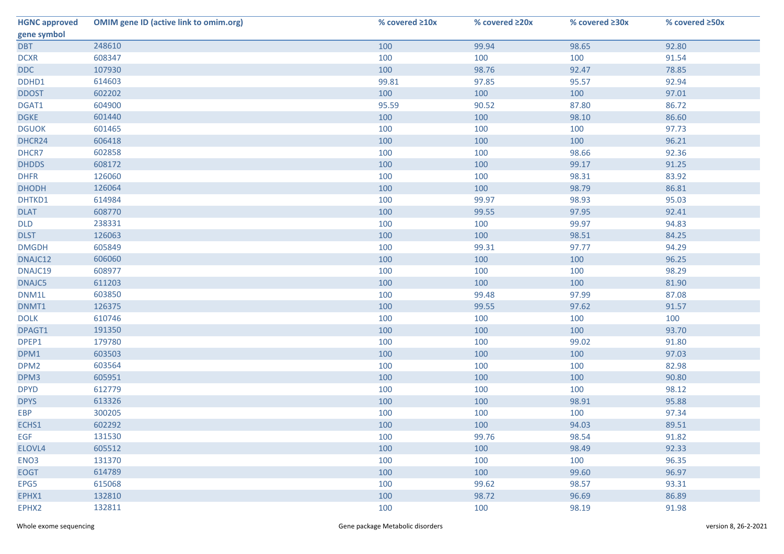| <b>HGNC approved</b> | <b>OMIM gene ID (active link to omim.org)</b> | % covered ≥10x | % covered ≥20x | % covered ≥30x | % covered ≥50x |
|----------------------|-----------------------------------------------|----------------|----------------|----------------|----------------|
| gene symbol          |                                               |                |                |                |                |
| <b>DBT</b>           | 248610                                        | 100            | 99.94          | 98.65          | 92.80          |
| <b>DCXR</b>          | 608347                                        | 100            | 100            | 100            | 91.54          |
| <b>DDC</b>           | 107930                                        | 100            | 98.76          | 92.47          | 78.85          |
| DDHD1                | 614603                                        | 99.81          | 97.85          | 95.57          | 92.94          |
| <b>DDOST</b>         | 602202                                        | 100            | 100            | 100            | 97.01          |
| DGAT1                | 604900                                        | 95.59          | 90.52          | 87.80          | 86.72          |
| <b>DGKE</b>          | 601440                                        | 100            | 100            | 98.10          | 86.60          |
| <b>DGUOK</b>         | 601465                                        | 100            | 100            | 100            | 97.73          |
| DHCR24               | 606418                                        | 100            | 100            | 100            | 96.21          |
| DHCR7                | 602858                                        | 100            | 100            | 98.66          | 92.36          |
| <b>DHDDS</b>         | 608172                                        | 100            | 100            | 99.17          | 91.25          |
| <b>DHFR</b>          | 126060                                        | 100            | 100            | 98.31          | 83.92          |
| <b>DHODH</b>         | 126064                                        | 100            | 100            | 98.79          | 86.81          |
| DHTKD1               | 614984                                        | 100            | 99.97          | 98.93          | 95.03          |
| <b>DLAT</b>          | 608770                                        | 100            | 99.55          | 97.95          | 92.41          |
| <b>DLD</b>           | 238331                                        | 100            | 100            | 99.97          | 94.83          |
| <b>DLST</b>          | 126063                                        | 100            | 100            | 98.51          | 84.25          |
| <b>DMGDH</b>         | 605849                                        | 100            | 99.31          | 97.77          | 94.29          |
| DNAJC12              | 606060                                        | 100            | 100            | 100            | 96.25          |
| DNAJC19              | 608977                                        | 100            | 100            | 100            | 98.29          |
| DNAJC5               | 611203                                        | 100            | 100            | 100            | 81.90          |
| DNM1L                | 603850                                        | 100            | 99.48          | 97.99          | 87.08          |
| DNMT1                | 126375                                        | 100            | 99.55          | 97.62          | 91.57          |
| <b>DOLK</b>          | 610746                                        | 100            | 100            | 100            | 100            |
| DPAGT1               | 191350                                        | 100            | 100            | 100            | 93.70          |
| DPEP1                | 179780                                        | 100            | 100            | 99.02          | 91.80          |
| DPM1                 | 603503                                        | 100            | 100            | 100            | 97.03          |
| DPM <sub>2</sub>     | 603564                                        | 100            | 100            | 100            | 82.98          |
| DPM3                 | 605951                                        | 100            | 100            | 100            | 90.80          |
| <b>DPYD</b>          | 612779                                        | 100            | 100            | 100            | 98.12          |
| <b>DPYS</b>          | 613326                                        | 100            | 100            | 98.91          | 95.88          |
| <b>EBP</b>           | 300205                                        | 100            | 100            | 100            | 97.34          |
| ECHS1                | 602292                                        | 100            | 100            | 94.03          | 89.51          |
| <b>EGF</b>           | 131530                                        | 100            | 99.76          | 98.54          | 91.82          |
| ELOVL4               | 605512                                        | 100            | 100            | 98.49          | 92.33          |
| ENO <sub>3</sub>     | 131370                                        | 100            | 100            | 100            | 96.35          |
| <b>EOGT</b>          | 614789                                        | 100            | 100            | 99.60          | 96.97          |
| EPG5                 | 615068                                        | 100            | 99.62          | 98.57          | 93.31          |
| EPHX1                | 132810                                        | 100            | 98.72          | 96.69          | 86.89          |
| EPHX2                | 132811                                        | 100            | 100            | 98.19          | 91.98          |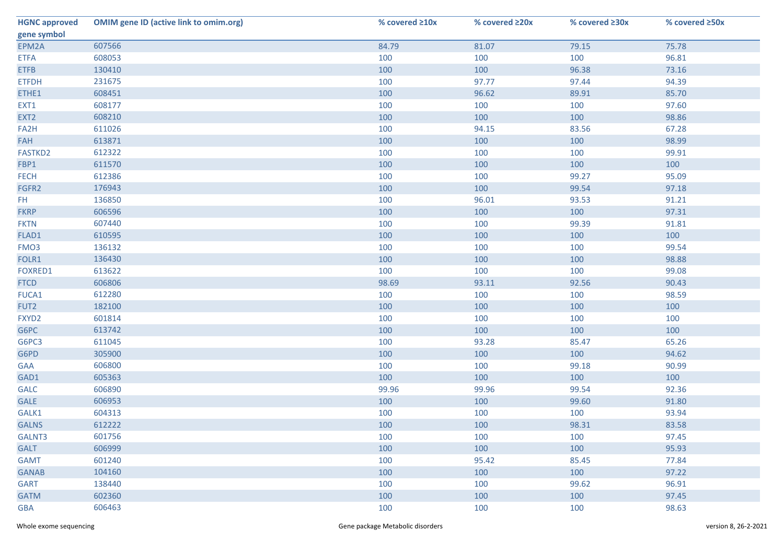| <b>HGNC approved</b> | <b>OMIM gene ID (active link to omim.org)</b> | % covered ≥10x | % covered ≥20x | % covered ≥30x | % covered ≥50x |
|----------------------|-----------------------------------------------|----------------|----------------|----------------|----------------|
| gene symbol          |                                               |                |                |                |                |
| EPM2A                | 607566                                        | 84.79          | 81.07          | 79.15          | 75.78          |
| <b>ETFA</b>          | 608053                                        | 100            | 100            | 100            | 96.81          |
| <b>ETFB</b>          | 130410                                        | 100            | 100            | 96.38          | 73.16          |
| <b>ETFDH</b>         | 231675                                        | 100            | 97.77          | 97.44          | 94.39          |
| ETHE1                | 608451                                        | 100            | 96.62          | 89.91          | 85.70          |
| EXT1                 | 608177                                        | 100            | 100            | 100            | 97.60          |
| EXT <sub>2</sub>     | 608210                                        | 100            | 100            | 100            | 98.86          |
| FA2H                 | 611026                                        | 100            | 94.15          | 83.56          | 67.28          |
| <b>FAH</b>           | 613871                                        | 100            | 100            | 100            | 98.99          |
| FASTKD2              | 612322                                        | 100            | 100            | 100            | 99.91          |
| FBP1                 | 611570                                        | 100            | 100            | 100            | 100            |
| <b>FECH</b>          | 612386                                        | 100            | 100            | 99.27          | 95.09          |
| FGFR2                | 176943                                        | 100            | 100            | 99.54          | 97.18          |
| FH.                  | 136850                                        | 100            | 96.01          | 93.53          | 91.21          |
| <b>FKRP</b>          | 606596                                        | 100            | 100            | 100            | 97.31          |
| <b>FKTN</b>          | 607440                                        | 100            | 100            | 99.39          | 91.81          |
| FLAD1                | 610595                                        | 100            | 100            | 100            | 100            |
| FMO <sub>3</sub>     | 136132                                        | 100            | 100            | 100            | 99.54          |
| FOLR1                | 136430                                        | 100            | 100            | 100            | 98.88          |
| FOXRED1              | 613622                                        | 100            | 100            | 100            | 99.08          |
| <b>FTCD</b>          | 606806                                        | 98.69          | 93.11          | 92.56          | 90.43          |
| FUCA1                | 612280                                        | 100            | 100            | 100            | 98.59          |
| FUT2                 | 182100                                        | 100            | 100            | 100            | 100            |
| FXYD2                | 601814                                        | 100            | 100            | 100            | 100            |
| G6PC                 | 613742                                        | 100            | 100            | 100            | 100            |
| G6PC3                | 611045                                        | 100            | 93.28          | 85.47          | 65.26          |
| G6PD                 | 305900                                        | 100            | 100            | 100            | 94.62          |
| <b>GAA</b>           | 606800                                        | 100            | 100            | 99.18          | 90.99          |
| GAD1                 | 605363                                        | 100            | 100            | 100            | 100            |
| <b>GALC</b>          | 606890                                        | 99.96          | 99.96          | 99.54          | 92.36          |
| <b>GALE</b>          | 606953                                        | 100            | 100            | 99.60          | 91.80          |
| GALK1                | 604313                                        | 100            | 100            | 100            | 93.94          |
| <b>GALNS</b>         | 612222                                        | 100            | 100            | 98.31          | 83.58          |
| GALNT3               | 601756                                        | 100            | 100            | 100            | 97.45          |
| <b>GALT</b>          | 606999                                        | 100            | 100            | 100            | 95.93          |
| <b>GAMT</b>          | 601240                                        | 100            | 95.42          | 85.45          | 77.84          |
| <b>GANAB</b>         | 104160                                        | 100            | 100            | 100            | 97.22          |
| <b>GART</b>          | 138440                                        | 100            | 100            | 99.62          | 96.91          |
| <b>GATM</b>          | 602360                                        | 100            | 100            | 100            | 97.45          |
| <b>GBA</b>           | 606463                                        | 100            | 100            | 100            | 98.63          |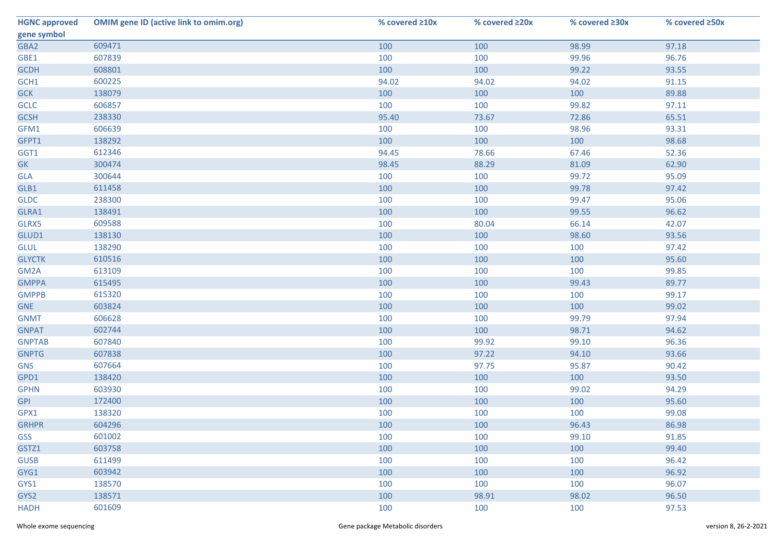| <b>HGNC approved</b> | <b>OMIM gene ID (active link to omim.org)</b> | % covered ≥10x | % covered ≥20x | % covered ≥30x | % covered ≥50x |
|----------------------|-----------------------------------------------|----------------|----------------|----------------|----------------|
| gene symbol          |                                               |                |                |                |                |
| GBA2                 | 609471                                        | 100            | 100            | 98.99          | 97.18          |
| GBE1                 | 607839                                        | 100            | 100            | 99.96          | 96.76          |
| <b>GCDH</b>          | 608801                                        | 100            | 100            | 99.22          | 93.55          |
| GCH1                 | 600225                                        | 94.02          | 94.02          | 94.02          | 91.15          |
| <b>GCK</b>           | 138079                                        | 100            | 100            | 100            | 89.88          |
| <b>GCLC</b>          | 606857                                        | 100            | 100            | 99.82          | 97.11          |
| <b>GCSH</b>          | 238330                                        | 95.40          | 73.67          | 72.86          | 65.51          |
| GFM1                 | 606639                                        | 100            | 100            | 98.96          | 93.31          |
| GFPT1                | 138292                                        | 100            | 100            | 100            | 98.68          |
| GGT1                 | 612346                                        | 94.45          | 78.66          | 67.46          | 52.36          |
| <b>GK</b>            | 300474                                        | 98.45          | 88.29          | 81.09          | 62.90          |
| GLA                  | 300644                                        | 100            | 100            | 99.72          | 95.09          |
| GLB1                 | 611458                                        | 100            | 100            | 99.78          | 97.42          |
| <b>GLDC</b>          | 238300                                        | 100            | 100            | 99.47          | 95.06          |
| GLRA1                | 138491                                        | 100            | 100            | 99.55          | 96.62          |
| GLRX5                | 609588                                        | 100            | 80.04          | 66.14          | 42.07          |
| GLUD1                | 138130                                        | 100            | 100            | 98.60          | 93.56          |
| <b>GLUL</b>          | 138290                                        | 100            | 100            | 100            | 97.42          |
| <b>GLYCTK</b>        | 610516                                        | 100            | 100            | 100            | 95.60          |
| GM2A                 | 613109                                        | 100            | 100            | 100            | 99.85          |
| <b>GMPPA</b>         | 615495                                        | 100            | 100            | 99.43          | 89.77          |
| <b>GMPPB</b>         | 615320                                        | 100            | 100            | 100            | 99.17          |
| <b>GNE</b>           | 603824                                        | 100            | 100            | 100            | 99.02          |
| <b>GNMT</b>          | 606628                                        | 100            | 100            | 99.79          | 97.94          |
| <b>GNPAT</b>         | 602744                                        | 100            | 100            | 98.71          | 94.62          |
| <b>GNPTAB</b>        | 607840                                        | 100            | 99.92          | 99.10          | 96.36          |
| <b>GNPTG</b>         | 607838                                        | 100            | 97.22          | 94.10          | 93.66          |
| <b>GNS</b>           | 607664                                        | 100            | 97.75          | 95.87          | 90.42          |
| GPD1                 | 138420                                        | 100            | 100            | 100            | 93.50          |
| <b>GPHN</b>          | 603930                                        | 100            | 100            | 99.02          | 94.29          |
| <b>GPI</b>           | 172400                                        | 100            | 100            | 100            | 95.60          |
| GPX1                 | 138320                                        | 100            | 100            | 100            | 99.08          |
| <b>GRHPR</b>         | 604296                                        | 100            | 100            | 96.43          | 86.98          |
| GSS                  | 601002                                        | 100            | 100            | 99.10          | 91.85          |
| GSTZ1                | 603758                                        | 100            | 100            | 100            | 99.40          |
| <b>GUSB</b>          | 611499                                        | 100            | 100            | 100            | 96.42          |
| GYG1                 | 603942                                        | 100            | 100            | 100            | 96.92          |
| GYS1                 | 138570                                        | 100            | 100            | 100            | 96.07          |
| GYS2                 | 138571                                        | 100            | 98.91          | 98.02          | 96.50          |
| <b>HADH</b>          | 601609                                        | 100            | 100            | 100            | 97.53          |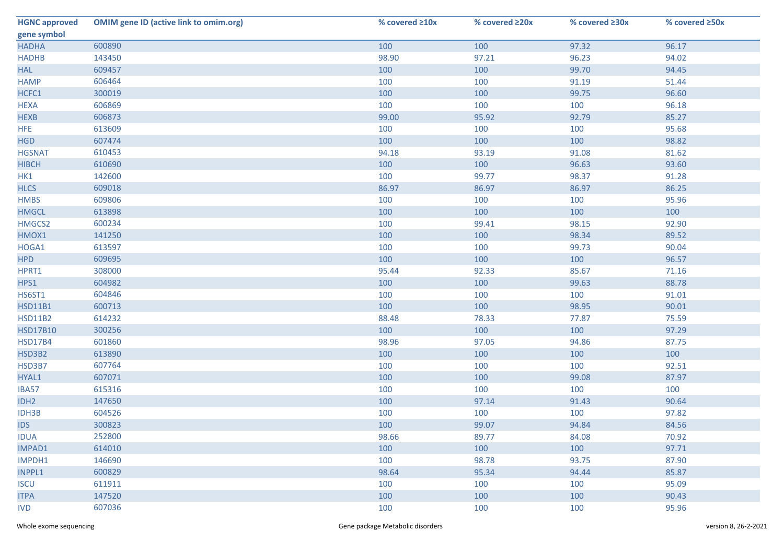| <b>HGNC approved</b> | <b>OMIM gene ID (active link to omim.org)</b> | % covered ≥10x | % covered ≥20x | % covered ≥30x | % covered ≥50x |
|----------------------|-----------------------------------------------|----------------|----------------|----------------|----------------|
| gene symbol          |                                               |                |                |                |                |
| <b>HADHA</b>         | 600890                                        | 100            | 100            | 97.32          | 96.17          |
| <b>HADHB</b>         | 143450                                        | 98.90          | 97.21          | 96.23          | 94.02          |
| <b>HAL</b>           | 609457                                        | 100            | 100            | 99.70          | 94.45          |
| <b>HAMP</b>          | 606464                                        | 100            | 100            | 91.19          | 51.44          |
| HCFC1                | 300019                                        | 100            | 100            | 99.75          | 96.60          |
| <b>HEXA</b>          | 606869                                        | 100            | 100            | 100            | 96.18          |
| <b>HEXB</b>          | 606873                                        | 99.00          | 95.92          | 92.79          | 85.27          |
| <b>HFE</b>           | 613609                                        | 100            | 100            | 100            | 95.68          |
| <b>HGD</b>           | 607474                                        | 100            | 100            | 100            | 98.82          |
| <b>HGSNAT</b>        | 610453                                        | 94.18          | 93.19          | 91.08          | 81.62          |
| <b>HIBCH</b>         | 610690                                        | 100            | 100            | 96.63          | 93.60          |
| HK1                  | 142600                                        | 100            | 99.77          | 98.37          | 91.28          |
| <b>HLCS</b>          | 609018                                        | 86.97          | 86.97          | 86.97          | 86.25          |
| <b>HMBS</b>          | 609806                                        | 100            | 100            | 100            | 95.96          |
| <b>HMGCL</b>         | 613898                                        | 100            | 100            | 100            | 100            |
| HMGCS2               | 600234                                        | 100            | 99.41          | 98.15          | 92.90          |
| HMOX1                | 141250                                        | 100            | 100            | 98.34          | 89.52          |
| HOGA1                | 613597                                        | 100            | 100            | 99.73          | 90.04          |
| <b>HPD</b>           | 609695                                        | 100            | 100            | 100            | 96.57          |
| HPRT1                | 308000                                        | 95.44          | 92.33          | 85.67          | 71.16          |
| HPS1                 | 604982                                        | 100            | 100            | 99.63          | 88.78          |
| HS6ST1               | 604846                                        | 100            | 100            | 100            | 91.01          |
| <b>HSD11B1</b>       | 600713                                        | 100            | 100            | 98.95          | 90.01          |
| <b>HSD11B2</b>       | 614232                                        | 88.48          | 78.33          | 77.87          | 75.59          |
| <b>HSD17B10</b>      | 300256                                        | 100            | 100            | 100            | 97.29          |
| <b>HSD17B4</b>       | 601860                                        | 98.96          | 97.05          | 94.86          | 87.75          |
| HSD3B2               | 613890                                        | 100            | 100            | 100            | 100            |
| HSD3B7               | 607764                                        | 100            | 100            | 100            | 92.51          |
| HYAL1                | 607071                                        | 100            | 100            | 99.08          | 87.97          |
| IBA57                | 615316                                        | 100            | 100            | 100            | 100            |
| IDH <sub>2</sub>     | 147650                                        | 100            | 97.14          | 91.43          | 90.64          |
| IDH3B                | 604526                                        | 100            | 100            | 100            | 97.82          |
| <b>IDS</b>           | 300823                                        | 100            | 99.07          | 94.84          | 84.56          |
| <b>IDUA</b>          | 252800                                        | 98.66          | 89.77          | 84.08          | 70.92          |
| <b>IMPAD1</b>        | 614010                                        | 100            | 100            | 100            | 97.71          |
| IMPDH1               | 146690                                        | 100            | 98.78          | 93.75          | 87.90          |
| INPPL1               | 600829                                        | 98.64          | 95.34          | 94.44          | 85.87          |
| <b>ISCU</b>          | 611911                                        | 100            | 100            | 100            | 95.09          |
| <b>ITPA</b>          | 147520                                        | 100            | 100            | 100            | 90.43          |
| <b>IVD</b>           | 607036                                        | 100            | 100            | 100            | 95.96          |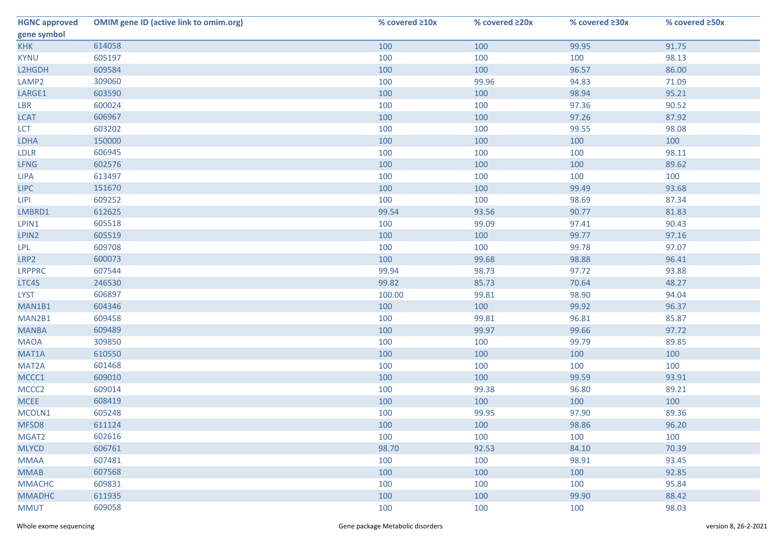| <b>HGNC approved</b> | <b>OMIM gene ID (active link to omim.org)</b> | % covered ≥10x | % covered ≥20x | % covered ≥30x | % covered ≥50x |
|----------------------|-----------------------------------------------|----------------|----------------|----------------|----------------|
| gene symbol          |                                               |                |                |                |                |
| <b>KHK</b>           | 614058                                        | 100            | 100            | 99.95          | 91.75          |
| <b>KYNU</b>          | 605197                                        | 100            | 100            | 100            | 98.13          |
| L2HGDH               | 609584                                        | 100            | 100            | 96.57          | 86.00          |
| LAMP <sub>2</sub>    | 309060                                        | 100            | 99.96          | 94.83          | 71.09          |
| LARGE1               | 603590                                        | 100            | 100            | 98.94          | 95.21          |
| LBR                  | 600024                                        | 100            | 100            | 97.36          | 90.52          |
| <b>LCAT</b>          | 606967                                        | 100            | 100            | 97.26          | 87.92          |
| <b>LCT</b>           | 603202                                        | 100            | 100            | 99.55          | 98.08          |
| LDHA                 | 150000                                        | 100            | 100            | 100            | 100            |
| <b>LDLR</b>          | 606945                                        | 100            | 100            | 100            | 98.11          |
| <b>LFNG</b>          | 602576                                        | 100            | 100            | 100            | 89.62          |
| <b>LIPA</b>          | 613497                                        | 100            | 100            | 100            | 100            |
| <b>LIPC</b>          | 151670                                        | 100            | 100            | 99.49          | 93.68          |
| <b>LIPI</b>          | 609252                                        | 100            | 100            | 98.69          | 87.34          |
| LMBRD1               | 612625                                        | 99.54          | 93.56          | 90.77          | 81.83          |
| LPIN1                | 605518                                        | 100            | 99.09          | 97.41          | 90.43          |
| LPIN2                | 605519                                        | 100            | 100            | 99.77          | 97.16          |
| LPL                  | 609708                                        | 100            | 100            | 99.78          | 97.07          |
| LRP2                 | 600073                                        | 100            | 99.68          | 98.88          | 96.41          |
| <b>LRPPRC</b>        | 607544                                        | 99.94          | 98.73          | 97.72          | 93.88          |
| LTC4S                | 246530                                        | 99.82          | 85.73          | 70.64          | 48.27          |
| <b>LYST</b>          | 606897                                        | 100.00         | 99.81          | 98.90          | 94.04          |
| MAN1B1               | 604346                                        | 100            | 100            | 99.92          | 96.37          |
| MAN2B1               | 609458                                        | 100            | 99.81          | 96.81          | 85.87          |
| <b>MANBA</b>         | 609489                                        | 100            | 99.97          | 99.66          | 97.72          |
| <b>MAOA</b>          | 309850                                        | 100            | 100            | 99.79          | 89.85          |
| MAT1A                | 610550                                        | 100            | 100            | 100            | 100            |
| MAT2A                | 601468                                        | 100            | 100            | 100            | 100            |
| MCCC1                | 609010                                        | 100            | 100            | 99.59          | 93.91          |
| MCCC <sub>2</sub>    | 609014                                        | 100            | 99.38          | 96.80          | 89.21          |
| <b>MCEE</b>          | 608419                                        | 100            | 100            | 100            | 100            |
| MCOLN1               | 605248                                        | 100            | 99.95          | 97.90          | 89.36          |
| MFSD8                | 611124                                        | 100            | 100            | 98.86          | 96.20          |
| MGAT2                | 602616                                        | 100            | 100            | 100            | 100            |
| <b>MLYCD</b>         | 606761                                        | 98.70          | 92.53          | 84.10          | 70.39          |
| <b>MMAA</b>          | 607481                                        | 100            | 100            | 98.91          | 93.45          |
| <b>MMAB</b>          | 607568                                        | 100            | 100            | 100            | 92.85          |
| <b>MMACHC</b>        | 609831                                        | 100            | 100            | 100            | 95.84          |
| <b>MMADHC</b>        | 611935                                        | 100            | 100            | 99.90          | 88.42          |
| <b>MMUT</b>          | 609058                                        | 100            | 100            | 100            | 98.03          |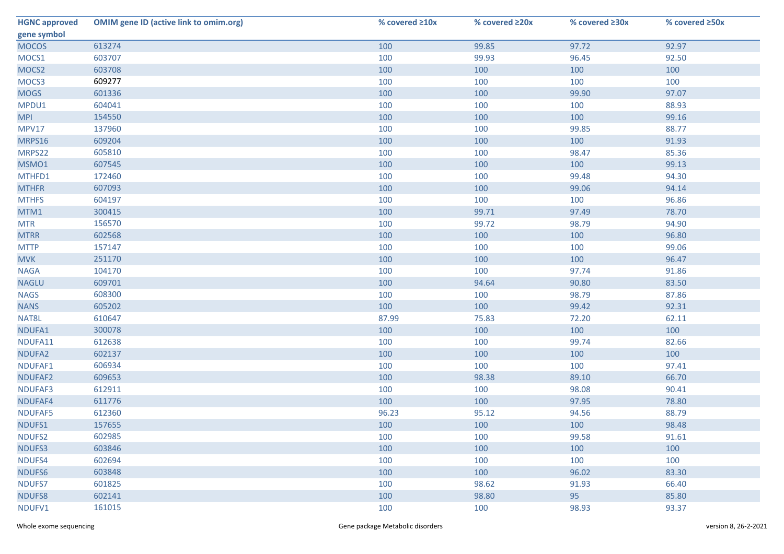| <b>HGNC approved</b> | <b>OMIM gene ID (active link to omim.org)</b> | % covered ≥10x | % covered ≥20x | % covered ≥30x | % covered ≥50x |
|----------------------|-----------------------------------------------|----------------|----------------|----------------|----------------|
| gene symbol          |                                               |                |                |                |                |
| <b>MOCOS</b>         | 613274                                        | 100            | 99.85          | 97.72          | 92.97          |
| MOCS1                | 603707                                        | 100            | 99.93          | 96.45          | 92.50          |
| MOCS2                | 603708                                        | 100            | 100            | 100            | 100            |
| MOCS3                | 609277                                        | 100            | 100            | 100            | 100            |
| <b>MOGS</b>          | 601336                                        | 100            | 100            | 99.90          | 97.07          |
| MPDU1                | 604041                                        | 100            | 100            | 100            | 88.93          |
| <b>MPI</b>           | 154550                                        | 100            | 100            | 100            | 99.16          |
| <b>MPV17</b>         | 137960                                        | 100            | 100            | 99.85          | 88.77          |
| MRPS16               | 609204                                        | 100            | 100            | 100            | 91.93          |
| MRPS22               | 605810                                        | 100            | 100            | 98.47          | 85.36          |
| MSMO1                | 607545                                        | 100            | 100            | 100            | 99.13          |
| MTHFD1               | 172460                                        | 100            | 100            | 99.48          | 94.30          |
| <b>MTHFR</b>         | 607093                                        | 100            | 100            | 99.06          | 94.14          |
| <b>MTHFS</b>         | 604197                                        | 100            | 100            | 100            | 96.86          |
| MTM1                 | 300415                                        | 100            | 99.71          | 97.49          | 78.70          |
| <b>MTR</b>           | 156570                                        | 100            | 99.72          | 98.79          | 94.90          |
| <b>MTRR</b>          | 602568                                        | 100            | 100            | 100            | 96.80          |
| <b>MTTP</b>          | 157147                                        | 100            | 100            | 100            | 99.06          |
| <b>MVK</b>           | 251170                                        | 100            | 100            | 100            | 96.47          |
| <b>NAGA</b>          | 104170                                        | 100            | 100            | 97.74          | 91.86          |
| <b>NAGLU</b>         | 609701                                        | 100            | 94.64          | 90.80          | 83.50          |
| <b>NAGS</b>          | 608300                                        | 100            | 100            | 98.79          | 87.86          |
| <b>NANS</b>          | 605202                                        | 100            | 100            | 99.42          | 92.31          |
| NAT8L                | 610647                                        | 87.99          | 75.83          | 72.20          | 62.11          |
| NDUFA1               | 300078                                        | 100            | 100            | 100            | 100            |
| NDUFA11              | 612638                                        | 100            | 100            | 99.74          | 82.66          |
| NDUFA2               | 602137                                        | 100            | 100            | 100            | 100            |
| NDUFAF1              | 606934                                        | 100            | 100            | 100            | 97.41          |
| NDUFAF2              | 609653                                        | 100            | 98.38          | 89.10          | 66.70          |
| NDUFAF3              | 612911                                        | 100            | 100            | 98.08          | 90.41          |
| NDUFAF4              | 611776                                        | 100            | 100            | 97.95          | 78.80          |
| NDUFAF5              | 612360                                        | 96.23          | 95.12          | 94.56          | 88.79          |
| NDUFS1               | 157655                                        | 100            | 100            | 100            | 98.48          |
| NDUFS2               | 602985                                        | 100            | 100            | 99.58          | 91.61          |
| NDUFS3               | 603846                                        | 100            | 100            | 100            | 100            |
| NDUFS4               | 602694                                        | 100            | 100            | 100            | 100            |
| NDUFS6               | 603848                                        | 100            | 100            | 96.02          | 83.30          |
| NDUFS7               | 601825                                        | 100            | 98.62          | 91.93          | 66.40          |
| <b>NDUFS8</b>        | 602141                                        | 100            | 98.80          | 95             | 85.80          |
| NDUFV1               | 161015                                        | 100            | 100            | 98.93          | 93.37          |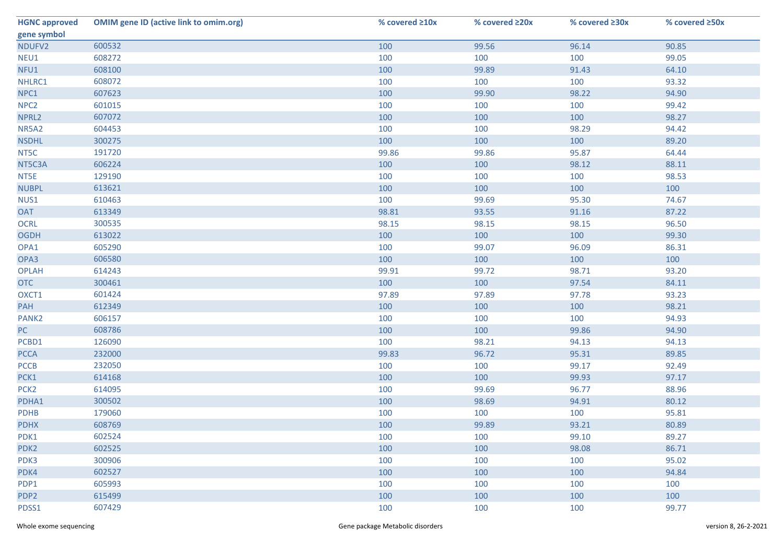| <b>HGNC approved</b> | <b>OMIM gene ID (active link to omim.org)</b> | % covered ≥10x | % covered ≥20x | % covered ≥30x | % covered ≥50x |
|----------------------|-----------------------------------------------|----------------|----------------|----------------|----------------|
| gene symbol          |                                               |                |                |                |                |
| NDUFV2               | 600532                                        | 100            | 99.56          | 96.14          | 90.85          |
| NEU1                 | 608272                                        | 100            | 100            | 100            | 99.05          |
| NFU1                 | 608100                                        | 100            | 99.89          | 91.43          | 64.10          |
| NHLRC1               | 608072                                        | 100            | 100            | 100            | 93.32          |
| NPC1                 | 607623                                        | 100            | 99.90          | 98.22          | 94.90          |
| NPC <sub>2</sub>     | 601015                                        | 100            | 100            | 100            | 99.42          |
| NPRL2                | 607072                                        | 100            | 100            | 100            | 98.27          |
| NR5A2                | 604453                                        | 100            | 100            | 98.29          | 94.42          |
| <b>NSDHL</b>         | 300275                                        | 100            | 100            | 100            | 89.20          |
| NT5C                 | 191720                                        | 99.86          | 99.86          | 95.87          | 64.44          |
| NT5C3A               | 606224                                        | 100            | 100            | 98.12          | 88.11          |
| NT5E                 | 129190                                        | 100            | 100            | 100            | 98.53          |
| <b>NUBPL</b>         | 613621                                        | 100            | 100            | 100            | 100            |
| NUS1                 | 610463                                        | 100            | 99.69          | 95.30          | 74.67          |
| <b>OAT</b>           | 613349                                        | 98.81          | 93.55          | 91.16          | 87.22          |
| <b>OCRL</b>          | 300535                                        | 98.15          | 98.15          | 98.15          | 96.50          |
| <b>OGDH</b>          | 613022                                        | 100            | 100            | 100            | 99.30          |
| OPA1                 | 605290                                        | 100            | 99.07          | 96.09          | 86.31          |
| OPA3                 | 606580                                        | 100            | 100            | 100            | 100            |
| <b>OPLAH</b>         | 614243                                        | 99.91          | 99.72          | 98.71          | 93.20          |
| <b>OTC</b>           | 300461                                        | 100            | 100            | 97.54          | 84.11          |
| OXCT1                | 601424                                        | 97.89          | 97.89          | 97.78          | 93.23          |
| PAH                  | 612349                                        | 100            | 100            | 100            | 98.21          |
| PANK <sub>2</sub>    | 606157                                        | 100            | 100            | 100            | 94.93          |
| PC                   | 608786                                        | 100            | 100            | 99.86          | 94.90          |
| PCBD1                | 126090                                        | 100            | 98.21          | 94.13          | 94.13          |
| <b>PCCA</b>          | 232000                                        | 99.83          | 96.72          | 95.31          | 89.85          |
| <b>PCCB</b>          | 232050                                        | 100            | 100            | 99.17          | 92.49          |
| PCK1                 | 614168                                        | 100            | 100            | 99.93          | 97.17          |
| PCK <sub>2</sub>     | 614095                                        | 100            | 99.69          | 96.77          | 88.96          |
| PDHA1                | 300502                                        | 100            | 98.69          | 94.91          | 80.12          |
| <b>PDHB</b>          | 179060                                        | 100            | 100            | 100            | 95.81          |
| <b>PDHX</b>          | 608769                                        | 100            | 99.89          | 93.21          | 80.89          |
| PDK1                 | 602524                                        | 100            | 100            | 99.10          | 89.27          |
| PDK <sub>2</sub>     | 602525                                        | 100            | 100            | 98.08          | 86.71          |
| PDK3                 | 300906                                        | 100            | 100            | 100            | 95.02          |
| PDK4                 | 602527                                        | 100            | 100            | 100            | 94.84          |
| PDP1                 | 605993                                        | 100            | 100            | 100            | 100            |
| PDP <sub>2</sub>     | 615499                                        | 100            | 100            | 100            | 100            |
| PDSS1                | 607429                                        | 100            | 100            | 100            | 99.77          |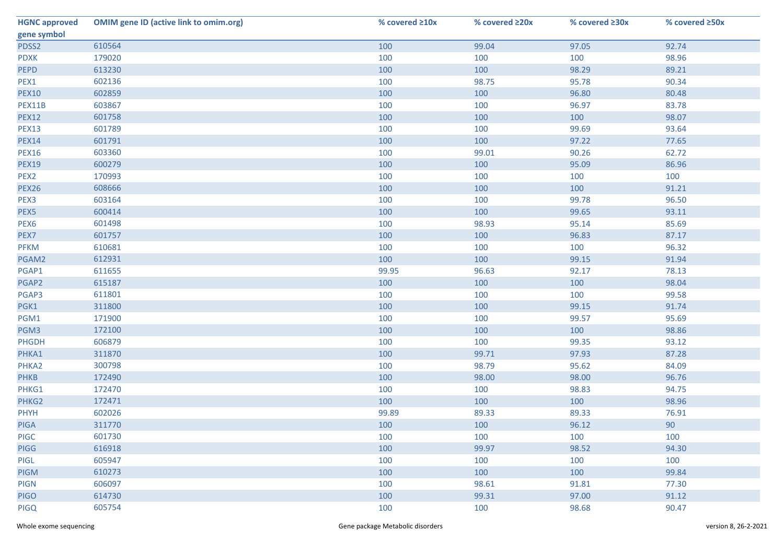| <b>HGNC approved</b> | <b>OMIM gene ID (active link to omim.org)</b> | % covered ≥10x | % covered ≥20x | % covered ≥30x | % covered ≥50x |
|----------------------|-----------------------------------------------|----------------|----------------|----------------|----------------|
| gene symbol          |                                               |                |                |                |                |
| PDSS2                | 610564                                        | 100            | 99.04          | 97.05          | 92.74          |
| <b>PDXK</b>          | 179020                                        | 100            | 100            | 100            | 98.96          |
| <b>PEPD</b>          | 613230                                        | 100            | 100            | 98.29          | 89.21          |
| PEX1                 | 602136                                        | 100            | 98.75          | 95.78          | 90.34          |
| <b>PEX10</b>         | 602859                                        | 100            | 100            | 96.80          | 80.48          |
| PEX11B               | 603867                                        | 100            | 100            | 96.97          | 83.78          |
| <b>PEX12</b>         | 601758                                        | 100            | 100            | 100            | 98.07          |
| <b>PEX13</b>         | 601789                                        | 100            | 100            | 99.69          | 93.64          |
| <b>PEX14</b>         | 601791                                        | 100            | 100            | 97.22          | 77.65          |
| <b>PEX16</b>         | 603360                                        | 100            | 99.01          | 90.26          | 62.72          |
| <b>PEX19</b>         | 600279                                        | 100            | 100            | 95.09          | 86.96          |
| PEX2                 | 170993                                        | 100            | 100            | 100            | 100            |
| <b>PEX26</b>         | 608666                                        | 100            | 100            | 100            | 91.21          |
| PEX3                 | 603164                                        | 100            | 100            | 99.78          | 96.50          |
| PEX5                 | 600414                                        | 100            | 100            | 99.65          | 93.11          |
| PEX <sub>6</sub>     | 601498                                        | 100            | 98.93          | 95.14          | 85.69          |
| PEX7                 | 601757                                        | 100            | 100            | 96.83          | 87.17          |
| <b>PFKM</b>          | 610681                                        | 100            | 100            | 100            | 96.32          |
| PGAM2                | 612931                                        | 100            | 100            | 99.15          | 91.94          |
| PGAP1                | 611655                                        | 99.95          | 96.63          | 92.17          | 78.13          |
| PGAP2                | 615187                                        | 100            | 100            | 100            | 98.04          |
| PGAP3                | 611801                                        | 100            | 100            | 100            | 99.58          |
| PGK1                 | 311800                                        | 100            | 100            | 99.15          | 91.74          |
| PGM1                 | 171900                                        | 100            | 100            | 99.57          | 95.69          |
| PGM3                 | 172100                                        | 100            | 100            | 100            | 98.86          |
| PHGDH                | 606879                                        | 100            | 100            | 99.35          | 93.12          |
| PHKA1                | 311870                                        | 100            | 99.71          | 97.93          | 87.28          |
| PHKA2                | 300798                                        | 100            | 98.79          | 95.62          | 84.09          |
| <b>PHKB</b>          | 172490                                        | 100            | 98.00          | 98.00          | 96.76          |
| PHKG1                | 172470                                        | 100            | 100            | 98.83          | 94.75          |
| PHKG2                | 172471                                        | 100            | 100            | 100            | 98.96          |
| <b>PHYH</b>          | 602026                                        | 99.89          | 89.33          | 89.33          | 76.91          |
| <b>PIGA</b>          | 311770                                        | 100            | 100            | 96.12          | 90             |
| <b>PIGC</b>          | 601730                                        | 100            | 100            | 100            | 100            |
| <b>PIGG</b>          | 616918                                        | 100            | 99.97          | 98.52          | 94.30          |
| PIGL                 | 605947                                        | 100            | 100            | 100            | 100            |
| <b>PIGM</b>          | 610273                                        | 100            | 100            | 100            | 99.84          |
| <b>PIGN</b>          | 606097                                        | 100            | 98.61          | 91.81          | 77.30          |
| <b>PIGO</b>          | 614730                                        | 100            | 99.31          | 97.00          | 91.12          |
| <b>PIGQ</b>          | 605754                                        | 100            | 100            | 98.68          | 90.47          |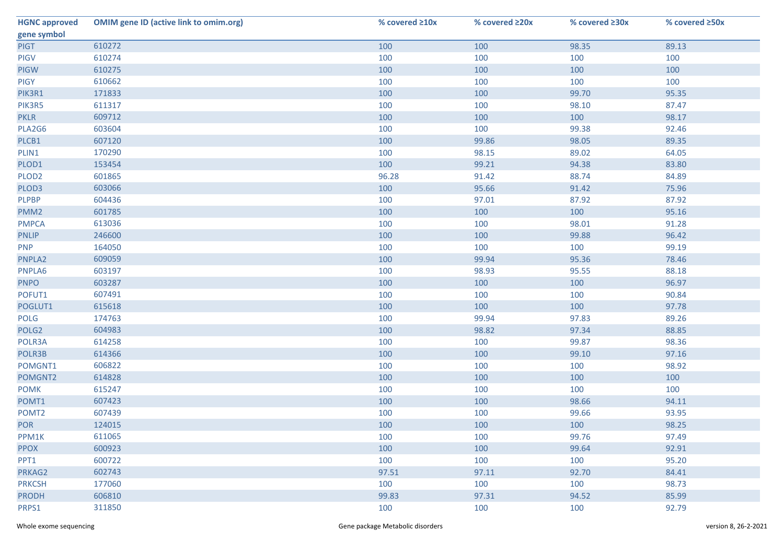| <b>HGNC approved</b> | <b>OMIM gene ID (active link to omim.org)</b> | % covered ≥10x | % covered ≥20x | % covered ≥30x | % covered ≥50x |
|----------------------|-----------------------------------------------|----------------|----------------|----------------|----------------|
| gene symbol          |                                               |                |                |                |                |
| <b>PIGT</b>          | 610272                                        | 100            | 100            | 98.35          | 89.13          |
| <b>PIGV</b>          | 610274                                        | 100            | 100            | 100            | 100            |
| <b>PIGW</b>          | 610275                                        | 100            | 100            | 100            | 100            |
| <b>PIGY</b>          | 610662                                        | 100            | 100            | 100            | 100            |
| PIK3R1               | 171833                                        | 100            | 100            | 99.70          | 95.35          |
| PIK3R5               | 611317                                        | 100            | 100            | 98.10          | 87.47          |
| <b>PKLR</b>          | 609712                                        | 100            | 100            | 100            | 98.17          |
| PLA2G6               | 603604                                        | 100            | 100            | 99.38          | 92.46          |
| PLCB1                | 607120                                        | 100            | 99.86          | 98.05          | 89.35          |
| PLIN1                | 170290                                        | 100            | 98.15          | 89.02          | 64.05          |
| PLOD1                | 153454                                        | 100            | 99.21          | 94.38          | 83.80          |
| PLOD <sub>2</sub>    | 601865                                        | 96.28          | 91.42          | 88.74          | 84.89          |
| PLOD3                | 603066                                        | 100            | 95.66          | 91.42          | 75.96          |
| <b>PLPBP</b>         | 604436                                        | 100            | 97.01          | 87.92          | 87.92          |
| PMM <sub>2</sub>     | 601785                                        | 100            | 100            | 100            | 95.16          |
| <b>PMPCA</b>         | 613036                                        | 100            | 100            | 98.01          | 91.28          |
| <b>PNLIP</b>         | 246600                                        | 100            | 100            | 99.88          | 96.42          |
| <b>PNP</b>           | 164050                                        | 100            | 100            | 100            | 99.19          |
| PNPLA2               | 609059                                        | 100            | 99.94          | 95.36          | 78.46          |
| PNPLA6               | 603197                                        | 100            | 98.93          | 95.55          | 88.18          |
| <b>PNPO</b>          | 603287                                        | 100            | 100            | 100            | 96.97          |
| POFUT1               | 607491                                        | 100            | 100            | 100            | 90.84          |
| POGLUT1              | 615618                                        | 100            | 100            | 100            | 97.78          |
| POLG                 | 174763                                        | 100            | 99.94          | 97.83          | 89.26          |
| POLG <sub>2</sub>    | 604983                                        | 100            | 98.82          | 97.34          | 88.85          |
| POLR3A               | 614258                                        | 100            | 100            | 99.87          | 98.36          |
| POLR3B               | 614366                                        | 100            | 100            | 99.10          | 97.16          |
| POMGNT1              | 606822                                        | 100            | 100            | 100            | 98.92          |
| POMGNT2              | 614828                                        | 100            | 100            | 100            | 100            |
| <b>POMK</b>          | 615247                                        | 100            | 100            | 100            | 100            |
| POMT1                | 607423                                        | 100            | 100            | 98.66          | 94.11          |
| POMT <sub>2</sub>    | 607439                                        | 100            | 100            | 99.66          | 93.95          |
| <b>POR</b>           | 124015                                        | 100            | 100            | 100            | 98.25          |
| PPM1K                | 611065                                        | 100            | 100            | 99.76          | 97.49          |
| <b>PPOX</b>          | 600923                                        | 100            | 100            | 99.64          | 92.91          |
| PPT1                 | 600722                                        | 100            | 100            | 100            | 95.20          |
| PRKAG2               | 602743                                        | 97.51          | 97.11          | 92.70          | 84.41          |
| <b>PRKCSH</b>        | 177060                                        | 100            | 100            | 100            | 98.73          |
| <b>PRODH</b>         | 606810                                        | 99.83          | 97.31          | 94.52          | 85.99          |
| PRPS1                | 311850                                        | 100            | 100            | 100            | 92.79          |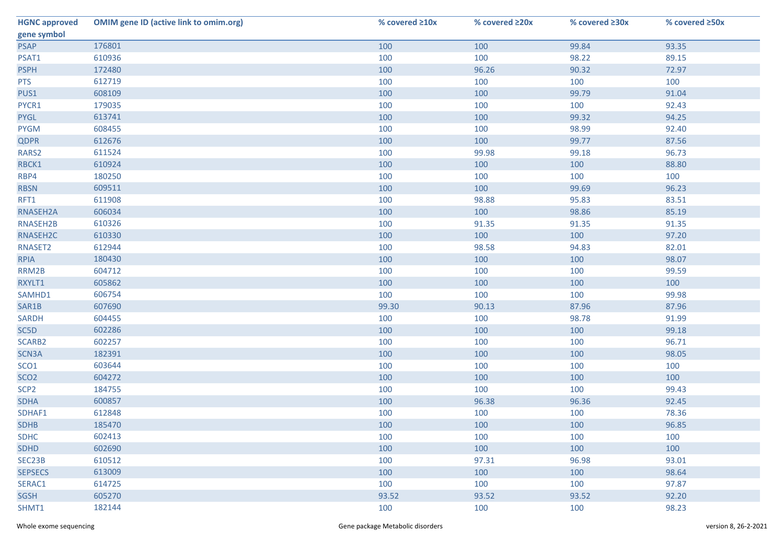| <b>HGNC approved</b> | <b>OMIM gene ID (active link to omim.org)</b> | % covered ≥10x | % covered ≥20x | % covered ≥30x | % covered ≥50x |
|----------------------|-----------------------------------------------|----------------|----------------|----------------|----------------|
| gene symbol          |                                               |                |                |                |                |
| <b>PSAP</b>          | 176801                                        | 100            | 100            | 99.84          | 93.35          |
| PSAT1                | 610936                                        | 100            | 100            | 98.22          | 89.15          |
| <b>PSPH</b>          | 172480                                        | 100            | 96.26          | 90.32          | 72.97          |
| <b>PTS</b>           | 612719                                        | 100            | 100            | 100            | 100            |
| PUS1                 | 608109                                        | 100            | 100            | 99.79          | 91.04          |
| PYCR1                | 179035                                        | 100            | 100            | 100            | 92.43          |
| <b>PYGL</b>          | 613741                                        | 100            | 100            | 99.32          | 94.25          |
| <b>PYGM</b>          | 608455                                        | 100            | 100            | 98.99          | 92.40          |
| <b>QDPR</b>          | 612676                                        | 100            | 100            | 99.77          | 87.56          |
| RARS2                | 611524                                        | 100            | 99.98          | 99.18          | 96.73          |
| RBCK1                | 610924                                        | 100            | 100            | 100            | 88.80          |
| RBP4                 | 180250                                        | 100            | 100            | 100            | 100            |
| <b>RBSN</b>          | 609511                                        | 100            | 100            | 99.69          | 96.23          |
| RFT1                 | 611908                                        | 100            | 98.88          | 95.83          | 83.51          |
| RNASEH2A             | 606034                                        | 100            | 100            | 98.86          | 85.19          |
| RNASEH2B             | 610326                                        | 100            | 91.35          | 91.35          | 91.35          |
| RNASEH2C             | 610330                                        | 100            | 100            | 100            | 97.20          |
| RNASET2              | 612944                                        | 100            | 98.58          | 94.83          | 82.01          |
| <b>RPIA</b>          | 180430                                        | 100            | 100            | 100            | 98.07          |
| RRM2B                | 604712                                        | 100            | 100            | 100            | 99.59          |
| RXYLT1               | 605862                                        | 100            | 100            | 100            | 100            |
| SAMHD1               | 606754                                        | 100            | 100            | 100            | 99.98          |
| SAR1B                | 607690                                        | 99.30          | 90.13          | 87.96          | 87.96          |
| <b>SARDH</b>         | 604455                                        | 100            | 100            | 98.78          | 91.99          |
| SC5D                 | 602286                                        | 100            | 100            | 100            | 99.18          |
| SCARB2               | 602257                                        | 100            | 100            | 100            | 96.71          |
| SCN3A                | 182391                                        | 100            | 100            | 100            | 98.05          |
| SCO <sub>1</sub>     | 603644                                        | 100            | 100            | 100            | 100            |
| SCO <sub>2</sub>     | 604272                                        | 100            | 100            | 100            | 100            |
| SCP <sub>2</sub>     | 184755                                        | 100            | 100            | 100            | 99.43          |
| <b>SDHA</b>          | 600857                                        | 100            | 96.38          | 96.36          | 92.45          |
| SDHAF1               | 612848                                        | 100            | 100            | 100            | 78.36          |
| <b>SDHB</b>          | 185470                                        | 100            | 100            | 100            | 96.85          |
| <b>SDHC</b>          | 602413                                        | 100            | 100            | 100            | 100            |
| <b>SDHD</b>          | 602690                                        | 100            | 100            | 100            | 100            |
| SEC23B               | 610512                                        | 100            | 97.31          | 96.98          | 93.01          |
| <b>SEPSECS</b>       | 613009                                        | 100            | 100            | 100            | 98.64          |
| SERAC1               | 614725                                        | 100            | 100            | 100            | 97.87          |
| <b>SGSH</b>          | 605270                                        | 93.52          | 93.52          | 93.52          | 92.20          |
| SHMT1                | 182144                                        | 100            | 100            | 100            | 98.23          |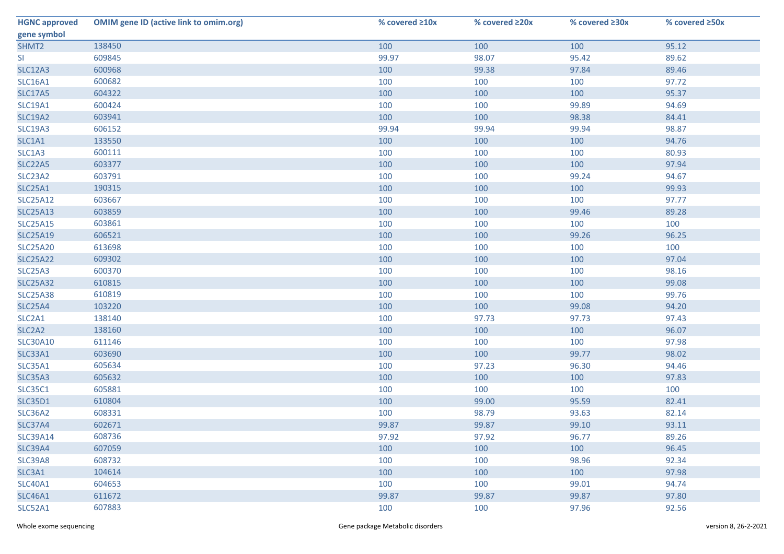| <b>HGNC approved</b>            | <b>OMIM gene ID (active link to omim.org)</b> | % covered ≥10x | % covered ≥20x | % covered ≥30x | % covered ≥50x |
|---------------------------------|-----------------------------------------------|----------------|----------------|----------------|----------------|
| gene symbol                     |                                               |                |                |                |                |
| SHMT2                           | 138450                                        | 100            | 100            | 100            | 95.12          |
| SI                              | 609845                                        | 99.97          | 98.07          | 95.42          | 89.62          |
| <b>SLC12A3</b>                  | 600968                                        | 100            | 99.38          | 97.84          | 89.46          |
| <b>SLC16A1</b>                  | 600682                                        | 100            | 100            | 100            | 97.72          |
| <b>SLC17A5</b>                  | 604322                                        | 100            | 100            | 100            | 95.37          |
| <b>SLC19A1</b>                  | 600424                                        | 100            | 100            | 99.89          | 94.69          |
| <b>SLC19A2</b>                  | 603941                                        | 100            | 100            | 98.38          | 84.41          |
| <b>SLC19A3</b>                  | 606152                                        | 99.94          | 99.94          | 99.94          | 98.87          |
| SLC1A1                          | 133550                                        | 100            | 100            | 100            | 94.76          |
| SLC1A3                          | 600111                                        | 100            | 100            | 100            | 80.93          |
| <b>SLC22A5</b>                  | 603377                                        | 100            | 100            | 100            | 97.94          |
| SLC23A2                         | 603791                                        | 100            | 100            | 99.24          | 94.67          |
| <b>SLC25A1</b>                  | 190315                                        | 100            | 100            | 100            | 99.93          |
| <b>SLC25A12</b>                 | 603667                                        | 100            | 100            | 100            | 97.77          |
| <b>SLC25A13</b>                 | 603859                                        | 100            | 100            | 99.46          | 89.28          |
| <b>SLC25A15</b>                 | 603861                                        | 100            | 100            | 100            | 100            |
| <b>SLC25A19</b>                 | 606521                                        | 100            | 100            | 99.26          | 96.25          |
| <b>SLC25A20</b>                 | 613698                                        | 100            | 100            | 100            | 100            |
| <b>SLC25A22</b>                 | 609302                                        | 100            | 100            | 100            | 97.04          |
| <b>SLC25A3</b>                  | 600370                                        | 100            | 100            | 100            | 98.16          |
| <b>SLC25A32</b>                 | 610815                                        | 100            | 100            | 100            | 99.08          |
| <b>SLC25A38</b>                 | 610819                                        | 100            | 100            | 100            | 99.76          |
| <b>SLC25A4</b>                  | 103220                                        | 100            | 100            | 99.08          | 94.20          |
| SLC2A1                          | 138140                                        | 100            | 97.73          | 97.73          | 97.43          |
| SLC <sub>2</sub> A <sub>2</sub> | 138160                                        | 100            | 100            | 100            | 96.07          |
| <b>SLC30A10</b>                 | 611146                                        | 100            | 100            | 100            | 97.98          |
| <b>SLC33A1</b>                  | 603690                                        | 100            | 100            | 99.77          | 98.02          |
| SLC35A1                         | 605634                                        | 100            | 97.23          | 96.30          | 94.46          |
| <b>SLC35A3</b>                  | 605632                                        | 100            | 100            | 100            | 97.83          |
| <b>SLC35C1</b>                  | 605881                                        | 100            | 100            | 100            | 100            |
| <b>SLC35D1</b>                  | 610804                                        | 100            | 99.00          | 95.59          | 82.41          |
| SLC36A2                         | 608331                                        | 100            | 98.79          | 93.63          | 82.14          |
| SLC37A4                         | 602671                                        | 99.87          | 99.87          | 99.10          | 93.11          |
| <b>SLC39A14</b>                 | 608736                                        | 97.92          | 97.92          | 96.77          | 89.26          |
| <b>SLC39A4</b>                  | 607059                                        | 100            | 100            | 100            | 96.45          |
| SLC39A8                         | 608732                                        | 100            | 100            | 98.96          | 92.34          |
| SLC3A1                          | 104614                                        | 100            | 100            | 100            | 97.98          |
| <b>SLC40A1</b>                  | 604653                                        | 100            | 100            | 99.01          | 94.74          |
| <b>SLC46A1</b>                  | 611672                                        | 99.87          | 99.87          | 99.87          | 97.80          |
| <b>SLC52A1</b>                  | 607883                                        | 100            | 100            | 97.96          | 92.56          |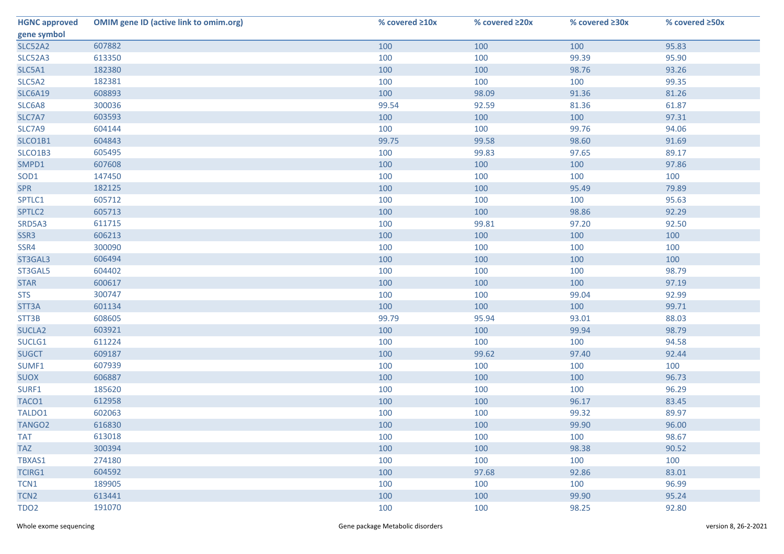| <b>HGNC approved</b> | <b>OMIM gene ID (active link to omim.org)</b> | % covered ≥10x | % covered ≥20x | % covered ≥30x | % covered ≥50x |
|----------------------|-----------------------------------------------|----------------|----------------|----------------|----------------|
| gene symbol          |                                               |                |                |                |                |
| <b>SLC52A2</b>       | 607882                                        | 100            | 100            | 100            | 95.83          |
| SLC52A3              | 613350                                        | 100            | 100            | 99.39          | 95.90          |
| SLC5A1               | 182380                                        | 100            | 100            | 98.76          | 93.26          |
| SLC5A2               | 182381                                        | 100            | 100            | 100            | 99.35          |
| <b>SLC6A19</b>       | 608893                                        | 100            | 98.09          | 91.36          | 81.26          |
| SLC6A8               | 300036                                        | 99.54          | 92.59          | 81.36          | 61.87          |
| SLC7A7               | 603593                                        | 100            | 100            | 100            | 97.31          |
| SLC7A9               | 604144                                        | 100            | 100            | 99.76          | 94.06          |
| SLCO1B1              | 604843                                        | 99.75          | 99.58          | 98.60          | 91.69          |
| SLCO1B3              | 605495                                        | 100            | 99.83          | 97.65          | 89.17          |
| SMPD1                | 607608                                        | 100            | 100            | 100            | 97.86          |
| SOD1                 | 147450                                        | 100            | 100            | 100            | 100            |
| <b>SPR</b>           | 182125                                        | 100            | 100            | 95.49          | 79.89          |
| SPTLC1               | 605712                                        | 100            | 100            | 100            | 95.63          |
| SPTLC2               | 605713                                        | 100            | 100            | 98.86          | 92.29          |
| SRD5A3               | 611715                                        | 100            | 99.81          | 97.20          | 92.50          |
| SSR3                 | 606213                                        | 100            | 100            | 100            | 100            |
| SSR4                 | 300090                                        | 100            | 100            | 100            | 100            |
| ST3GAL3              | 606494                                        | 100            | 100            | 100            | 100            |
| ST3GAL5              | 604402                                        | 100            | 100            | 100            | 98.79          |
| <b>STAR</b>          | 600617                                        | 100            | 100            | 100            | 97.19          |
| <b>STS</b>           | 300747                                        | 100            | 100            | 99.04          | 92.99          |
| STT3A                | 601134                                        | 100            | 100            | 100            | 99.71          |
| STT3B                | 608605                                        | 99.79          | 95.94          | 93.01          | 88.03          |
| SUCLA <sub>2</sub>   | 603921                                        | 100            | 100            | 99.94          | 98.79          |
| SUCLG1               | 611224                                        | 100            | 100            | 100            | 94.58          |
| <b>SUGCT</b>         | 609187                                        | 100            | 99.62          | 97.40          | 92.44          |
| SUMF1                | 607939                                        | 100            | 100            | 100            | 100            |
| <b>SUOX</b>          | 606887                                        | 100            | 100            | 100            | 96.73          |
| SURF1                | 185620                                        | 100            | 100            | 100            | 96.29          |
| TACO1                | 612958                                        | 100            | 100            | 96.17          | 83.45          |
| TALDO1               | 602063                                        | 100            | 100            | 99.32          | 89.97          |
| TANGO <sub>2</sub>   | 616830                                        | 100            | 100            | 99.90          | 96.00          |
| <b>TAT</b>           | 613018                                        | 100            | 100            | 100            | 98.67          |
| <b>TAZ</b>           | 300394                                        | 100            | 100            | 98.38          | 90.52          |
| TBXAS1               | 274180                                        | 100            | 100            | 100            | 100            |
| <b>TCIRG1</b>        | 604592                                        | 100            | 97.68          | 92.86          | 83.01          |
| TCN1                 | 189905                                        | 100            | 100            | 100            | 96.99          |
| TCN <sub>2</sub>     | 613441                                        | 100            | 100            | 99.90          | 95.24          |
| TDO <sub>2</sub>     | 191070                                        | 100            | 100            | 98.25          | 92.80          |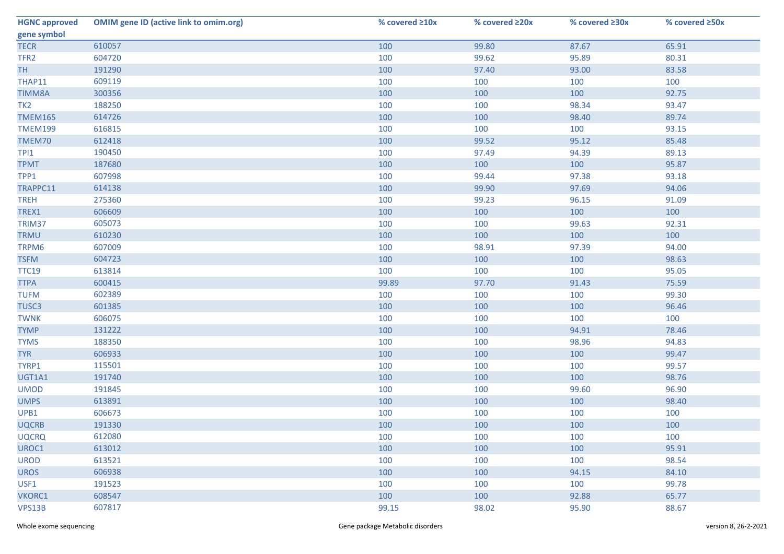| <b>HGNC approved</b> | <b>OMIM gene ID (active link to omim.org)</b> | % covered ≥10x | % covered ≥20x | % covered ≥30x | % covered ≥50x |
|----------------------|-----------------------------------------------|----------------|----------------|----------------|----------------|
| gene symbol          |                                               |                |                |                |                |
| <b>TECR</b>          | 610057                                        | 100            | 99.80          | 87.67          | 65.91          |
| TFR <sub>2</sub>     | 604720                                        | 100            | 99.62          | 95.89          | 80.31          |
| <b>TH</b>            | 191290                                        | 100            | 97.40          | 93.00          | 83.58          |
| THAP11               | 609119                                        | 100            | 100            | 100            | 100            |
| <b>TIMM8A</b>        | 300356                                        | 100            | 100            | 100            | 92.75          |
| TK <sub>2</sub>      | 188250                                        | 100            | 100            | 98.34          | 93.47          |
| <b>TMEM165</b>       | 614726                                        | 100            | 100            | 98.40          | 89.74          |
| <b>TMEM199</b>       | 616815                                        | 100            | 100            | 100            | 93.15          |
| TMEM70               | 612418                                        | 100            | 99.52          | 95.12          | 85.48          |
| TPI1                 | 190450                                        | 100            | 97.49          | 94.39          | 89.13          |
| <b>TPMT</b>          | 187680                                        | 100            | 100            | 100            | 95.87          |
| TPP1                 | 607998                                        | 100            | 99.44          | 97.38          | 93.18          |
| TRAPPC11             | 614138                                        | 100            | 99.90          | 97.69          | 94.06          |
| <b>TREH</b>          | 275360                                        | 100            | 99.23          | 96.15          | 91.09          |
| TREX1                | 606609                                        | 100            | 100            | 100            | 100            |
| TRIM37               | 605073                                        | 100            | 100            | 99.63          | 92.31          |
| <b>TRMU</b>          | 610230                                        | 100            | 100            | 100            | 100            |
| TRPM6                | 607009                                        | 100            | 98.91          | 97.39          | 94.00          |
| <b>TSFM</b>          | 604723                                        | 100            | 100            | 100            | 98.63          |
| <b>TTC19</b>         | 613814                                        | 100            | 100            | 100            | 95.05          |
| <b>TTPA</b>          | 600415                                        | 99.89          | 97.70          | 91.43          | 75.59          |
| <b>TUFM</b>          | 602389                                        | 100            | 100            | 100            | 99.30          |
| TUSC3                | 601385                                        | 100            | 100            | 100            | 96.46          |
| <b>TWNK</b>          | 606075                                        | 100            | 100            | 100            | 100            |
| <b>TYMP</b>          | 131222                                        | 100            | 100            | 94.91          | 78.46          |
| <b>TYMS</b>          | 188350                                        | 100            | 100            | 98.96          | 94.83          |
| <b>TYR</b>           | 606933                                        | 100            | 100            | 100            | 99.47          |
| TYRP1                | 115501                                        | 100            | 100            | 100            | 99.57          |
| UGT1A1               | 191740                                        | 100            | 100            | 100            | 98.76          |
| <b>UMOD</b>          | 191845                                        | 100            | 100            | 99.60          | 96.90          |
| <b>UMPS</b>          | 613891                                        | 100            | 100            | 100            | 98.40          |
| UPB1                 | 606673                                        | 100            | 100            | 100            | 100            |
| <b>UQCRB</b>         | 191330                                        | 100            | 100            | 100            | 100            |
| <b>UQCRQ</b>         | 612080                                        | 100            | 100            | 100            | 100            |
| UROC1                | 613012                                        | 100            | 100            | 100            | 95.91          |
| <b>UROD</b>          | 613521                                        | 100            | 100            | 100            | 98.54          |
| <b>UROS</b>          | 606938                                        | 100            | 100            | 94.15          | 84.10          |
| USF1                 | 191523                                        | 100            | 100            | 100            | 99.78          |
| VKORC1               | 608547                                        | 100            | 100            | 92.88          | 65.77          |
| VPS13B               | 607817                                        | 99.15          | 98.02          | 95.90          | 88.67          |